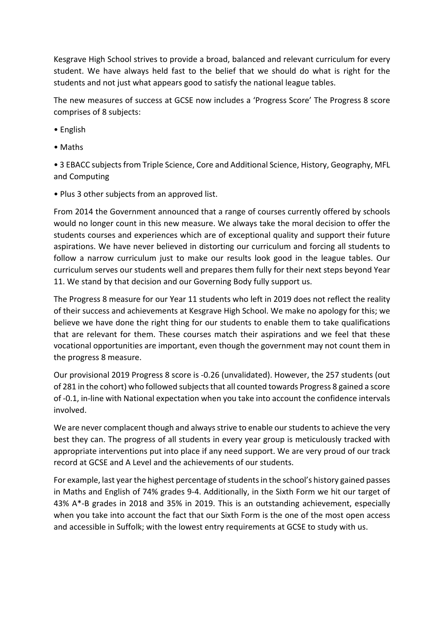Kesgrave High School strives to provide a broad, balanced and relevant curriculum for every student. We have always held fast to the belief that we should do what is right for the students and not just what appears good to satisfy the national league tables.

The new measures of success at GCSE now includes a 'Progress Score' The Progress 8 score comprises of 8 subjects:

- English
- Maths

• 3 EBACC subjects from Triple Science, Core and Additional Science, History, Geography, MFL and Computing

• Plus 3 other subjects from an approved list.

From 2014 the Government announced that a range of courses currently offered by schools would no longer count in this new measure. We always take the moral decision to offer the students courses and experiences which are of exceptional quality and support their future aspirations. We have never believed in distorting our curriculum and forcing all students to follow a narrow curriculum just to make our results look good in the league tables. Our curriculum serves our students well and prepares them fully for their next steps beyond Year 11. We stand by that decision and our Governing Body fully support us.

The Progress 8 measure for our Year 11 students who left in 2019 does not reflect the reality of their success and achievements at Kesgrave High School. We make no apology for this; we believe we have done the right thing for our students to enable them to take qualifications that are relevant for them. These courses match their aspirations and we feel that these vocational opportunities are important, even though the government may not count them in the progress 8 measure.

Our provisional 2019 Progress 8 score is ‐0.26 (unvalidated). However, the 257 students (out of 281 in the cohort) who followed subjects that all counted towards Progress 8 gained a score of ‐0.1, in‐line with National expectation when you take into account the confidence intervals involved.

We are never complacent though and always strive to enable our students to achieve the very best they can. The progress of all students in every year group is meticulously tracked with appropriate interventions put into place if any need support. We are very proud of our track record at GCSE and A Level and the achievements of our students.

For example, last year the highest percentage of students in the school's history gained passes in Maths and English of 74% grades 9‐4. Additionally, in the Sixth Form we hit our target of 43% A\*‐B grades in 2018 and 35% in 2019. This is an outstanding achievement, especially when you take into account the fact that our Sixth Form is the one of the most open access and accessible in Suffolk; with the lowest entry requirements at GCSE to study with us.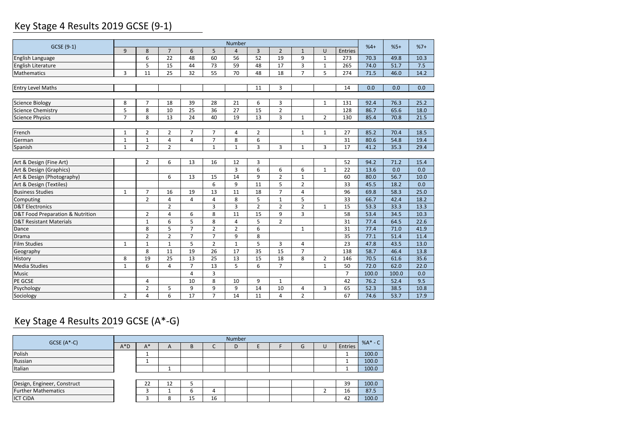## Key Stage 4 Results 2019 GCSE (9‐1)

| GCSE (9-1)                         |                |                |                |                |                | Number         |                |                |                |                |                | $%4+$ | $%5+$ | $%7+$ |
|------------------------------------|----------------|----------------|----------------|----------------|----------------|----------------|----------------|----------------|----------------|----------------|----------------|-------|-------|-------|
|                                    | 9              | 8              | $\overline{7}$ | 6              | 5              | $\overline{4}$ | $\overline{3}$ | $\overline{2}$ | $\mathbf{1}$   | $\cup$         | Entries        |       |       |       |
| English Language                   |                | 6              | 22             | 48             | 60             | 56             | 52             | 19             | 9              | $\mathbf{1}$   | 273            | 70.3  | 49.8  | 10.3  |
| English Literature                 |                | 5              | 15             | 44             | 73             | 59             | 48             | 17             | 3              | 1              | 265            | 74.0  | 51.7  | 7.5   |
| <b>Mathematics</b>                 | 3              | 11             | 25             | 32             | 55             | 70             | 48             | 18             | $\overline{7}$ | 5              | 274            | 71.5  | 46.0  | 14.2  |
|                                    |                |                |                |                |                |                |                |                |                |                |                |       |       |       |
| <b>Entry Level Maths</b>           |                |                |                |                |                |                | 11             | 3              |                |                | 14             | 0.0   | 0.0   | 0.0   |
| <b>Science Biology</b>             | 8              | $\overline{7}$ | 18             | 39             | 28             | 21             | 6              | 3              |                | $\mathbf{1}$   | 131            | 92.4  | 76.3  | 25.2  |
| <b>Science Chemistry</b>           | 5              | 8              | 10             | 25             | 36             | 27             | 15             | $\overline{2}$ |                |                | 128            | 86.7  | 65.6  | 18.0  |
| <b>Science Physics</b>             | $\overline{7}$ | 8              | 13             | 24             | 40             | 19             | 13             | 3              | $\mathbf{1}$   | $\overline{2}$ | 130            | 85.4  | 70.8  | 21.5  |
|                                    |                |                |                |                |                |                |                |                |                |                |                |       |       |       |
| French                             | $\mathbf 1$    | $\overline{2}$ | $\overline{2}$ | $\overline{7}$ | $\overline{7}$ | 4              | $\overline{2}$ |                | $\mathbf{1}$   | $\mathbf{1}$   | 27             | 85.2  | 70.4  | 18.5  |
| German                             | $\mathbf{1}$   | $\mathbf{1}$   | 4              | 4              | $\overline{7}$ | 8              | 6              |                |                |                | 31             | 80.6  | 54.8  | 19.4  |
| Spanish                            | $\mathbf{1}$   | $\overline{2}$ | $\overline{2}$ |                | $\mathbf{1}$   | $\mathbf{1}$   | 3              | 3              | $\mathbf 1$    | 3              | 17             | 41.2  | 35.3  | 29.4  |
|                                    |                |                |                |                |                |                |                |                |                |                |                |       |       |       |
| Art & Design (Fine Art)            |                | 2              | 6              | 13             | 16             | 12             | 3              |                |                |                | 52             | 94.2  | 71.2  | 15.4  |
| Art & Design (Graphics)            |                |                |                |                |                | 3              | 6              | 6              | 6              | $\mathbf{1}$   | 22             | 13.6  | 0.0   | 0.0   |
| Art & Design (Photography)         |                |                | 6              | 13             | 15             | 14             | 9              | $\overline{2}$ | $\mathbf 1$    |                | 60             | 80.0  | 56.7  | 10.0  |
| Art & Design (Textiles)            |                |                |                |                | 6              | 9              | 11             | 5              | $\overline{2}$ |                | 33             | 45.5  | 18.2  | 0.0   |
| <b>Business Studies</b>            | $\mathbf{1}$   | $\overline{7}$ | 16             | 19             | 13             | 11             | 18             | $\overline{7}$ | 4              |                | 96             | 69.8  | 58.3  | 25.0  |
| Computing                          |                | $\overline{2}$ | $\overline{4}$ | 4              | $\overline{4}$ | 8              | 5              | $\mathbf{1}$   | 5              |                | 33             | 66.7  | 42.4  | 18.2  |
| <b>D&amp;T Electronics</b>         |                |                | $\overline{2}$ |                | 3              | 3              | $\overline{2}$ | $\overline{2}$ | $\overline{2}$ | 1              | 15             | 53.3  | 33.3  | 13.3  |
| D&T Food Preparation & Nutrition   |                | $\overline{2}$ | 4              | 6              | 8              | 11             | 15             | 9              | 3              |                | 58             | 53.4  | 34.5  | 10.3  |
| <b>D&amp;T Resistant Materials</b> |                | $\mathbf{1}$   | 6              | 5              | 8              | $\overline{4}$ | 5              | $\overline{2}$ |                |                | 31             | 77.4  | 64.5  | 22.6  |
| Dance                              |                | 8              | 5              | $\overline{7}$ | $\overline{2}$ | $\overline{2}$ | 6              |                | $\mathbf{1}$   |                | 31             | 77.4  | 71.0  | 41.9  |
| Drama                              |                | $\overline{2}$ | $\overline{2}$ | $\overline{7}$ | $\overline{7}$ | 9              | 8              |                |                |                | 35             | 77.1  | 51.4  | 11.4  |
| <b>Film Studies</b>                | $\mathbf{1}$   | $\mathbf{1}$   | $\mathbf{1}$   | 5              | $\overline{2}$ | $\mathbf{1}$   | 5              | 3              | 4              |                | 23             | 47.8  | 43.5  | 13.0  |
| Geography                          |                | 8              | 11             | 19             | 26             | 17             | 35             | 15             | $\overline{7}$ |                | 138            | 58.7  | 46.4  | 13.8  |
| History                            | 8              | 19             | 25             | 13             | 25             | 13             | 15             | 18             | 8              | $\overline{2}$ | 146            | 70.5  | 61.6  | 35.6  |
| <b>Media Studies</b>               | 1              | 6              | $\overline{4}$ | $\overline{7}$ | 13             | 5              | 6              | $\overline{7}$ |                | $\mathbf{1}$   | 50             | 72.0  | 62.0  | 22.0  |
| Music                              |                |                |                | 4              | 3              |                |                |                |                |                | $\overline{7}$ | 100.0 | 100.0 | 0.0   |
| PE GCSE                            |                | 4              |                | 10             | 8              | 10             | 9              | $\mathbf{1}$   |                |                | 42             | 76.2  | 52.4  | 9.5   |
| Psychology                         |                | 2              | 5              | 9              | 9              | 9              | 14             | 10             | 4              | 3              | 65             | 52.3  | 38.5  | 10.8  |
| Sociology                          | $\overline{2}$ | 4              | 6              | 17             | $\overline{7}$ | 14             | 11             | 4              | $\overline{2}$ |                | 67             | 74.6  | 53.7  | 17.9  |

# Key Stage 4 Results 2019 GCSE (A\*‐G)

|                             |        | Number |                |    |    |   |  |  |  |   |         |         |  |
|-----------------------------|--------|--------|----------------|----|----|---|--|--|--|---|---------|---------|--|
| $GCSE(A*-C)$                | $A^*D$ | A*     | $\overline{A}$ | B  |    | D |  |  |  | U | Entries | %A* - C |  |
| Polish                      |        |        |                |    |    |   |  |  |  |   |         | 100.0   |  |
| Russian                     |        |        |                |    |    |   |  |  |  |   |         | 100.0   |  |
| Italian                     |        |        |                |    |    |   |  |  |  |   |         | 100.0   |  |
|                             |        |        |                |    |    |   |  |  |  |   |         |         |  |
| Design, Engineer, Construct |        | 22     | 12             |    |    |   |  |  |  |   | 39      | 100.0   |  |
| <b>Further Mathematics</b>  |        |        |                | t  | 4  |   |  |  |  |   | 16      | 87.5    |  |
| <b>ICT CIDA</b>             |        |        |                | 15 | 16 |   |  |  |  |   | 42      | 100.0   |  |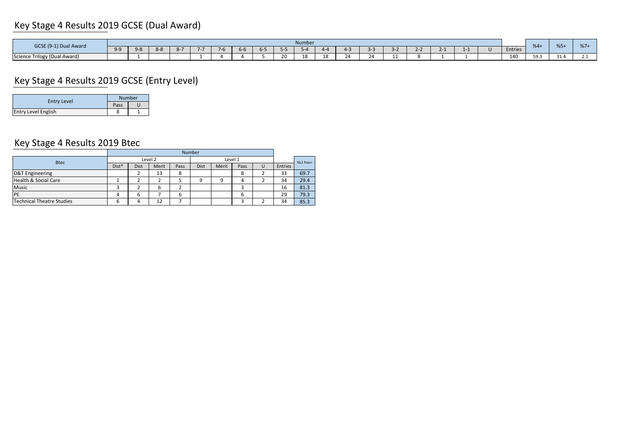## Key Stage 4 Results 2019 GCSE (Dual Award)

| GCSE (9-1) Dual Award                    |       | Number |  |       |  |  |               |       |     |           | $%4 +$                      | $%5+$ | 01' |  |  |         |      |              |     |
|------------------------------------------|-------|--------|--|-------|--|--|---------------|-------|-----|-----------|-----------------------------|-------|-----|--|--|---------|------|--------------|-----|
|                                          | $Q-Q$ | 9-8    |  | - 071 |  |  | - D-D<br>$ -$ | $h -$ | --  | $\neg$ -4 | $\mathcal{L}$ $\mathcal{L}$ |       |     |  |  | Entries |      |              | 701 |
| <b>Science Trilogy</b><br>, (Dual Award) |       |        |  |       |  |  |               |       | 20. |           | $\sim$                      |       |     |  |  | 140     | 59.3 | 24<br>، ۱۰ ت |     |

## Key Stage 4 Results 2019 GCSE (Entry Level)

| <b>Entry Level</b>         |      | <b>Number</b> |
|----------------------------|------|---------------|
|                            | Pass |               |
| <b>Entry Level English</b> |      |               |

#### Key Stage 4 Results 2019 Btec

|                                  |       | Number |         |      |      |         |      |           |         |      |  |
|----------------------------------|-------|--------|---------|------|------|---------|------|-----------|---------|------|--|
| <b>Btec</b>                      |       |        | Level 2 |      |      | Level 1 |      | %L2 Pass+ |         |      |  |
|                                  | Dist* | Dist   | Merit   | Pass | Dist | Merit   | Pass | U         | Entries |      |  |
| <b>D&amp;T Engineering</b>       |       |        | 13      | 8    |      |         | ◠    |           | 33      | 69.7 |  |
| <b>Health &amp; Social Care</b>  |       |        |         |      | q    | 9       |      |           | 34      | 29.4 |  |
| Music                            |       |        | 6       |      |      |         |      |           | 16      | 81.3 |  |
| PE                               | 4     | 6      |         | -6   |      |         | 6    |           | 29      | 79.3 |  |
| <b>Technical Theatre Studies</b> | ь     |        | 12      |      |      |         |      |           | 34      | 85.3 |  |